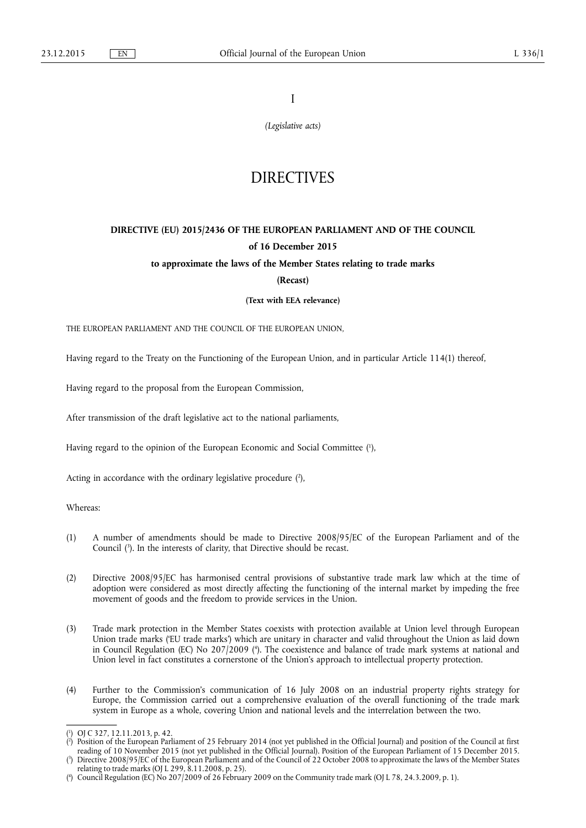I

*(Legislative acts)* 

# **DIRECTIVES**

# **DIRECTIVE (EU) 2015/2436 OF THE EUROPEAN PARLIAMENT AND OF THE COUNCIL of 16 December 2015**

# **to approximate the laws of the Member States relating to trade marks**

**(Recast)** 

**(Text with EEA relevance)** 

THE EUROPEAN PARLIAMENT AND THE COUNCIL OF THE EUROPEAN UNION,

Having regard to the Treaty on the Functioning of the European Union, and in particular Article 114(1) thereof,

Having regard to the proposal from the European Commission,

After transmission of the draft legislative act to the national parliaments,

Having regard to the opinion of the European Economic and Social Committee ( 1 ),

Acting in accordance with the ordinary legislative procedure  $(2)$ ,

Whereas:

- (1) A number of amendments should be made to Directive 2008/95/EC of the European Parliament and of the Council ( 3 ). In the interests of clarity, that Directive should be recast.
- (2) Directive 2008/95/EC has harmonised central provisions of substantive trade mark law which at the time of adoption were considered as most directly affecting the functioning of the internal market by impeding the free movement of goods and the freedom to provide services in the Union.
- (3) Trade mark protection in the Member States coexists with protection available at Union level through European Union trade marks ('EU trade marks') which are unitary in character and valid throughout the Union as laid down in Council Regulation (EC) No 207/2009 ( 4 ). The coexistence and balance of trade mark systems at national and Union level in fact constitutes a cornerstone of the Union's approach to intellectual property protection.
- (4) Further to the Commission's communication of 16 July 2008 on an industrial property rights strategy for Europe, the Commission carried out a comprehensive evaluation of the overall functioning of the trade mark system in Europe as a whole, covering Union and national levels and the interrelation between the two.

<sup>(</sup> 1 ) OJ C 327, 12.11.2013, p. 42.

<sup>(</sup> 2 ) Position of the European Parliament of 25 February 2014 (not yet published in the Official Journal) and position of the Council at first reading of 10 November 2015 (not yet published in the Official Journal). Position of the European Parliament of 15 December 2015.

<sup>(</sup> 3 ) Directive 2008/95/EC of the European Parliament and of the Council of 22 October 2008 to approximate the laws of the Member States relating to trade marks (OJ L 299, 8.11.2008, p. 25).

<sup>(</sup> 4 ) Council Regulation (EC) No 207/2009 of 26 February 2009 on the Community trade mark (OJ L 78, 24.3.2009, p. 1).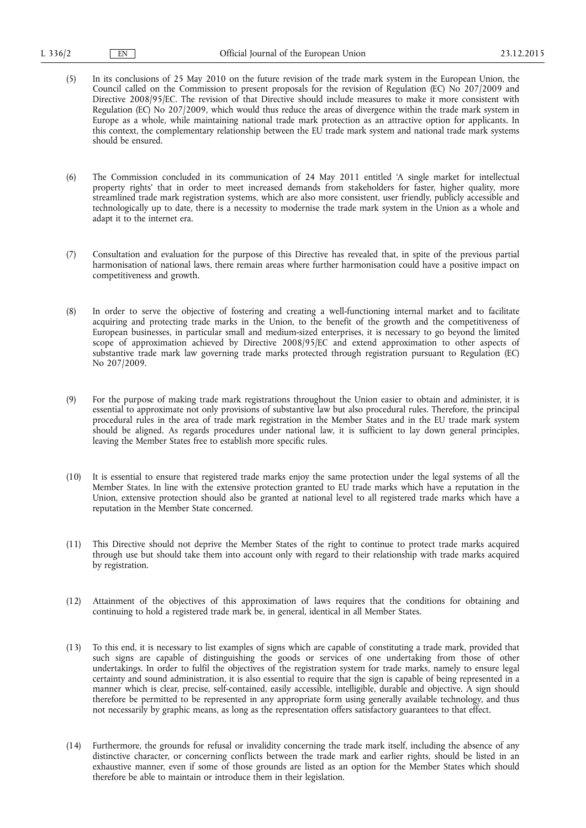- (5) In its conclusions of 25 May 2010 on the future revision of the trade mark system in the European Union, the Council called on the Commission to present proposals for the revision of Regulation (EC) No 207/2009 and Directive 2008/95/EC. The revision of that Directive should include measures to make it more consistent with Regulation (EC) No 207/2009, which would thus reduce the areas of divergence within the trade mark system in Europe as a whole, while maintaining national trade mark protection as an attractive option for applicants. In this context, the complementary relationship between the EU trade mark system and national trade mark systems should be ensured.
- (6) The Commission concluded in its communication of 24 May 2011 entitled 'A single market for intellectual property rights' that in order to meet increased demands from stakeholders for faster, higher quality, more streamlined trade mark registration systems, which are also more consistent, user friendly, publicly accessible and technologically up to date, there is a necessity to modernise the trade mark system in the Union as a whole and adapt it to the internet era.
- (7) Consultation and evaluation for the purpose of this Directive has revealed that, in spite of the previous partial harmonisation of national laws, there remain areas where further harmonisation could have a positive impact on competitiveness and growth.
- (8) In order to serve the objective of fostering and creating a well-functioning internal market and to facilitate acquiring and protecting trade marks in the Union, to the benefit of the growth and the competitiveness of European businesses, in particular small and medium-sized enterprises, it is necessary to go beyond the limited scope of approximation achieved by Directive 2008/95/EC and extend approximation to other aspects of substantive trade mark law governing trade marks protected through registration pursuant to Regulation (EC) No 207/2009.
- (9) For the purpose of making trade mark registrations throughout the Union easier to obtain and administer, it is essential to approximate not only provisions of substantive law but also procedural rules. Therefore, the principal procedural rules in the area of trade mark registration in the Member States and in the EU trade mark system should be aligned. As regards procedures under national law, it is sufficient to lay down general principles, leaving the Member States free to establish more specific rules.
- (10) It is essential to ensure that registered trade marks enjoy the same protection under the legal systems of all the Member States. In line with the extensive protection granted to EU trade marks which have a reputation in the Union, extensive protection should also be granted at national level to all registered trade marks which have a reputation in the Member State concerned.
- (11) This Directive should not deprive the Member States of the right to continue to protect trade marks acquired through use but should take them into account only with regard to their relationship with trade marks acquired by registration.
- (12) Attainment of the objectives of this approximation of laws requires that the conditions for obtaining and continuing to hold a registered trade mark be, in general, identical in all Member States.
- (13) To this end, it is necessary to list examples of signs which are capable of constituting a trade mark, provided that such signs are capable of distinguishing the goods or services of one undertaking from those of other undertakings. In order to fulfil the objectives of the registration system for trade marks, namely to ensure legal certainty and sound administration, it is also essential to require that the sign is capable of being represented in a manner which is clear, precise, self-contained, easily accessible, intelligible, durable and objective. A sign should therefore be permitted to be represented in any appropriate form using generally available technology, and thus not necessarily by graphic means, as long as the representation offers satisfactory guarantees to that effect.
- (14) Furthermore, the grounds for refusal or invalidity concerning the trade mark itself, including the absence of any distinctive character, or concerning conflicts between the trade mark and earlier rights, should be listed in an exhaustive manner, even if some of those grounds are listed as an option for the Member States which should therefore be able to maintain or introduce them in their legislation.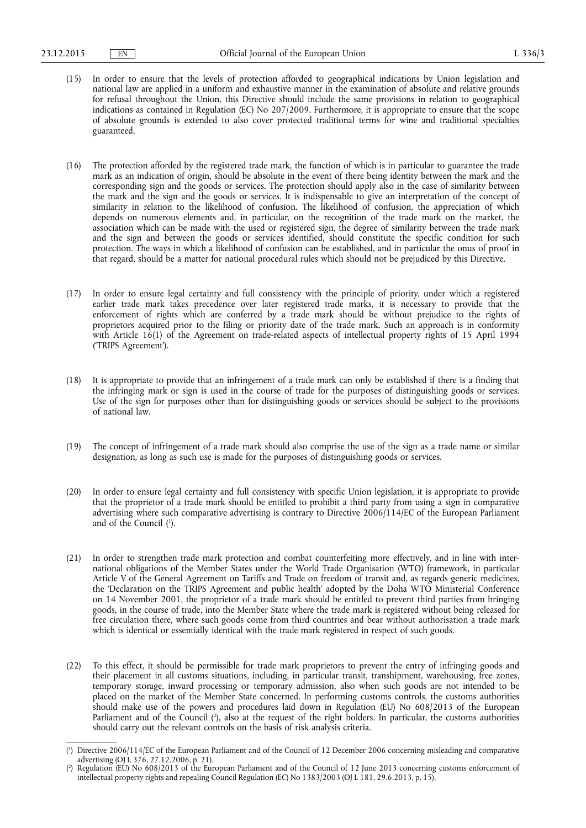- (15) In order to ensure that the levels of protection afforded to geographical indications by Union legislation and national law are applied in a uniform and exhaustive manner in the examination of absolute and relative grounds for refusal throughout the Union, this Directive should include the same provisions in relation to geographical indications as contained in Regulation (EC) No 207/2009. Furthermore, it is appropriate to ensure that the scope of absolute grounds is extended to also cover protected traditional terms for wine and traditional specialties guaranteed.
- (16) The protection afforded by the registered trade mark, the function of which is in particular to guarantee the trade mark as an indication of origin, should be absolute in the event of there being identity between the mark and the corresponding sign and the goods or services. The protection should apply also in the case of similarity between the mark and the sign and the goods or services. It is indispensable to give an interpretation of the concept of similarity in relation to the likelihood of confusion. The likelihood of confusion, the appreciation of which depends on numerous elements and, in particular, on the recognition of the trade mark on the market, the association which can be made with the used or registered sign, the degree of similarity between the trade mark and the sign and between the goods or services identified, should constitute the specific condition for such protection. The ways in which a likelihood of confusion can be established, and in particular the onus of proof in that regard, should be a matter for national procedural rules which should not be prejudiced by this Directive.
- (17) In order to ensure legal certainty and full consistency with the principle of priority, under which a registered earlier trade mark takes precedence over later registered trade marks, it is necessary to provide that the enforcement of rights which are conferred by a trade mark should be without prejudice to the rights of proprietors acquired prior to the filing or priority date of the trade mark. Such an approach is in conformity with Article 16(1) of the Agreement on trade-related aspects of intellectual property rights of 15 April 1994 ('TRIPS Agreement').
- (18) It is appropriate to provide that an infringement of a trade mark can only be established if there is a finding that the infringing mark or sign is used in the course of trade for the purposes of distinguishing goods or services. Use of the sign for purposes other than for distinguishing goods or services should be subject to the provisions of national law.
- (19) The concept of infringement of a trade mark should also comprise the use of the sign as a trade name or similar designation, as long as such use is made for the purposes of distinguishing goods or services.
- (20) In order to ensure legal certainty and full consistency with specific Union legislation, it is appropriate to provide that the proprietor of a trade mark should be entitled to prohibit a third party from using a sign in comparative advertising where such comparative advertising is contrary to Directive 2006/114/EC of the European Parliament and of the Council ( 1 ).
- (21) In order to strengthen trade mark protection and combat counterfeiting more effectively, and in line with international obligations of the Member States under the World Trade Organisation (WTO) framework, in particular Article V of the General Agreement on Tariffs and Trade on freedom of transit and, as regards generic medicines, the 'Declaration on the TRIPS Agreement and public health' adopted by the Doha WTO Ministerial Conference on 14 November 2001, the proprietor of a trade mark should be entitled to prevent third parties from bringing goods, in the course of trade, into the Member State where the trade mark is registered without being released for free circulation there, where such goods come from third countries and bear without authorisation a trade mark which is identical or essentially identical with the trade mark registered in respect of such goods.
- (22) To this effect, it should be permissible for trade mark proprietors to prevent the entry of infringing goods and their placement in all customs situations, including, in particular transit, transhipment, warehousing, free zones, temporary storage, inward processing or temporary admission, also when such goods are not intended to be placed on the market of the Member State concerned. In performing customs controls, the customs authorities should make use of the powers and procedures laid down in Regulation (EU) No 608/2013 of the European Parliament and of the Council ( 2 ), also at the request of the right holders. In particular, the customs authorities should carry out the relevant controls on the basis of risk analysis criteria.

<sup>(</sup> 1 ) Directive 2006/114/EC of the European Parliament and of the Council of 12 December 2006 concerning misleading and comparative advertising (OJ L 376, 27.12.2006, p. 21).

<sup>(</sup> 2 ) Regulation (EU) No 608/2013 of the European Parliament and of the Council of 12 June 2013 concerning customs enforcement of intellectual property rights and repealing Council Regulation (EC) No 1383/2003 (OJ L 181, 29.6.2013, p. 15).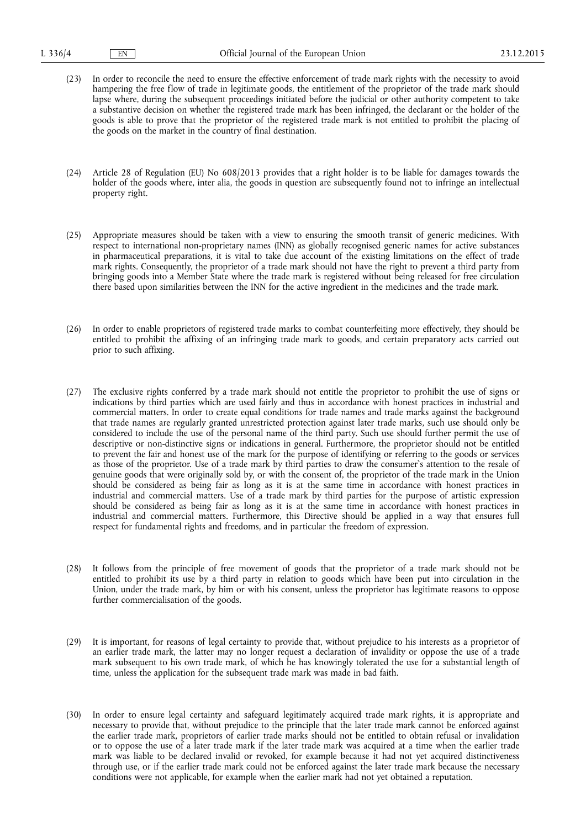- (23) In order to reconcile the need to ensure the effective enforcement of trade mark rights with the necessity to avoid hampering the free flow of trade in legitimate goods, the entitlement of the proprietor of the trade mark should lapse where, during the subsequent proceedings initiated before the judicial or other authority competent to take a substantive decision on whether the registered trade mark has been infringed, the declarant or the holder of the goods is able to prove that the proprietor of the registered trade mark is not entitled to prohibit the placing of the goods on the market in the country of final destination.
- (24) Article 28 of Regulation (EU) No 608/2013 provides that a right holder is to be liable for damages towards the holder of the goods where, inter alia, the goods in question are subsequently found not to infringe an intellectual property right.
- (25) Appropriate measures should be taken with a view to ensuring the smooth transit of generic medicines. With respect to international non-proprietary names (INN) as globally recognised generic names for active substances in pharmaceutical preparations, it is vital to take due account of the existing limitations on the effect of trade mark rights. Consequently, the proprietor of a trade mark should not have the right to prevent a third party from bringing goods into a Member State where the trade mark is registered without being released for free circulation there based upon similarities between the INN for the active ingredient in the medicines and the trade mark.
- (26) In order to enable proprietors of registered trade marks to combat counterfeiting more effectively, they should be entitled to prohibit the affixing of an infringing trade mark to goods, and certain preparatory acts carried out prior to such affixing.
- (27) The exclusive rights conferred by a trade mark should not entitle the proprietor to prohibit the use of signs or indications by third parties which are used fairly and thus in accordance with honest practices in industrial and commercial matters. In order to create equal conditions for trade names and trade marks against the background that trade names are regularly granted unrestricted protection against later trade marks, such use should only be considered to include the use of the personal name of the third party. Such use should further permit the use of descriptive or non-distinctive signs or indications in general. Furthermore, the proprietor should not be entitled to prevent the fair and honest use of the mark for the purpose of identifying or referring to the goods or services as those of the proprietor. Use of a trade mark by third parties to draw the consumer`s attention to the resale of genuine goods that were originally sold by, or with the consent of, the proprietor of the trade mark in the Union should be considered as being fair as long as it is at the same time in accordance with honest practices in industrial and commercial matters. Use of a trade mark by third parties for the purpose of artistic expression should be considered as being fair as long as it is at the same time in accordance with honest practices in industrial and commercial matters. Furthermore, this Directive should be applied in a way that ensures full respect for fundamental rights and freedoms, and in particular the freedom of expression.
- (28) It follows from the principle of free movement of goods that the proprietor of a trade mark should not be entitled to prohibit its use by a third party in relation to goods which have been put into circulation in the Union, under the trade mark, by him or with his consent, unless the proprietor has legitimate reasons to oppose further commercialisation of the goods.
- (29) It is important, for reasons of legal certainty to provide that, without prejudice to his interests as a proprietor of an earlier trade mark, the latter may no longer request a declaration of invalidity or oppose the use of a trade mark subsequent to his own trade mark, of which he has knowingly tolerated the use for a substantial length of time, unless the application for the subsequent trade mark was made in bad faith.
- (30) In order to ensure legal certainty and safeguard legitimately acquired trade mark rights, it is appropriate and necessary to provide that, without prejudice to the principle that the later trade mark cannot be enforced against the earlier trade mark, proprietors of earlier trade marks should not be entitled to obtain refusal or invalidation or to oppose the use of a later trade mark if the later trade mark was acquired at a time when the earlier trade mark was liable to be declared invalid or revoked, for example because it had not yet acquired distinctiveness through use, or if the earlier trade mark could not be enforced against the later trade mark because the necessary conditions were not applicable, for example when the earlier mark had not yet obtained a reputation.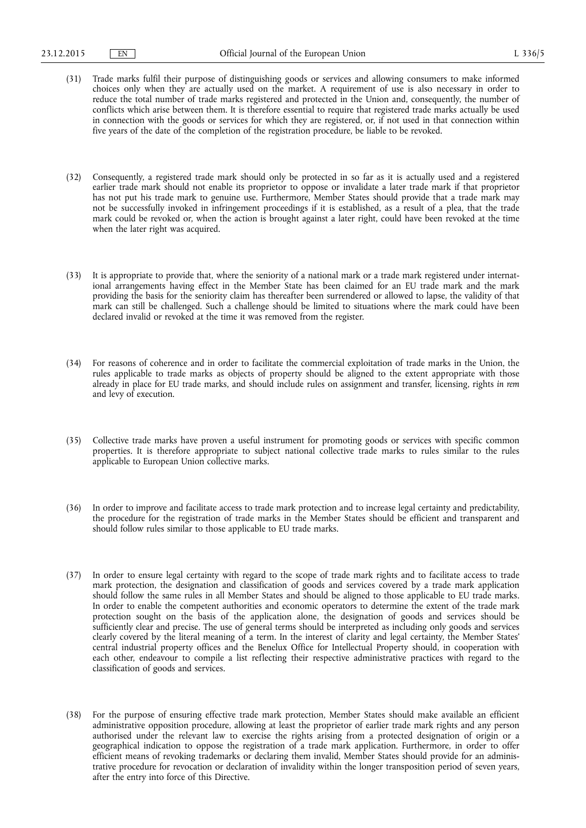- (31) Trade marks fulfil their purpose of distinguishing goods or services and allowing consumers to make informed choices only when they are actually used on the market. A requirement of use is also necessary in order to reduce the total number of trade marks registered and protected in the Union and, consequently, the number of conflicts which arise between them. It is therefore essential to require that registered trade marks actually be used in connection with the goods or services for which they are registered, or, if not used in that connection within five years of the date of the completion of the registration procedure, be liable to be revoked.
- (32) Consequently, a registered trade mark should only be protected in so far as it is actually used and a registered earlier trade mark should not enable its proprietor to oppose or invalidate a later trade mark if that proprietor has not put his trade mark to genuine use. Furthermore, Member States should provide that a trade mark may not be successfully invoked in infringement proceedings if it is established, as a result of a plea, that the trade mark could be revoked or, when the action is brought against a later right, could have been revoked at the time when the later right was acquired.
- (33) It is appropriate to provide that, where the seniority of a national mark or a trade mark registered under international arrangements having effect in the Member State has been claimed for an EU trade mark and the mark providing the basis for the seniority claim has thereafter been surrendered or allowed to lapse, the validity of that mark can still be challenged. Such a challenge should be limited to situations where the mark could have been declared invalid or revoked at the time it was removed from the register.
- (34) For reasons of coherence and in order to facilitate the commercial exploitation of trade marks in the Union, the rules applicable to trade marks as objects of property should be aligned to the extent appropriate with those already in place for EU trade marks, and should include rules on assignment and transfer, licensing, rights *in rem*  and levy of execution.
- (35) Collective trade marks have proven a useful instrument for promoting goods or services with specific common properties. It is therefore appropriate to subject national collective trade marks to rules similar to the rules applicable to European Union collective marks.
- (36) In order to improve and facilitate access to trade mark protection and to increase legal certainty and predictability, the procedure for the registration of trade marks in the Member States should be efficient and transparent and should follow rules similar to those applicable to EU trade marks.
- (37) In order to ensure legal certainty with regard to the scope of trade mark rights and to facilitate access to trade mark protection, the designation and classification of goods and services covered by a trade mark application should follow the same rules in all Member States and should be aligned to those applicable to EU trade marks. In order to enable the competent authorities and economic operators to determine the extent of the trade mark protection sought on the basis of the application alone, the designation of goods and services should be sufficiently clear and precise. The use of general terms should be interpreted as including only goods and services clearly covered by the literal meaning of a term. In the interest of clarity and legal certainty, the Member States' central industrial property offices and the Benelux Office for Intellectual Property should, in cooperation with each other, endeavour to compile a list reflecting their respective administrative practices with regard to the classification of goods and services.
- (38) For the purpose of ensuring effective trade mark protection, Member States should make available an efficient administrative opposition procedure, allowing at least the proprietor of earlier trade mark rights and any person authorised under the relevant law to exercise the rights arising from a protected designation of origin or a geographical indication to oppose the registration of a trade mark application. Furthermore, in order to offer efficient means of revoking trademarks or declaring them invalid, Member States should provide for an administrative procedure for revocation or declaration of invalidity within the longer transposition period of seven years, after the entry into force of this Directive.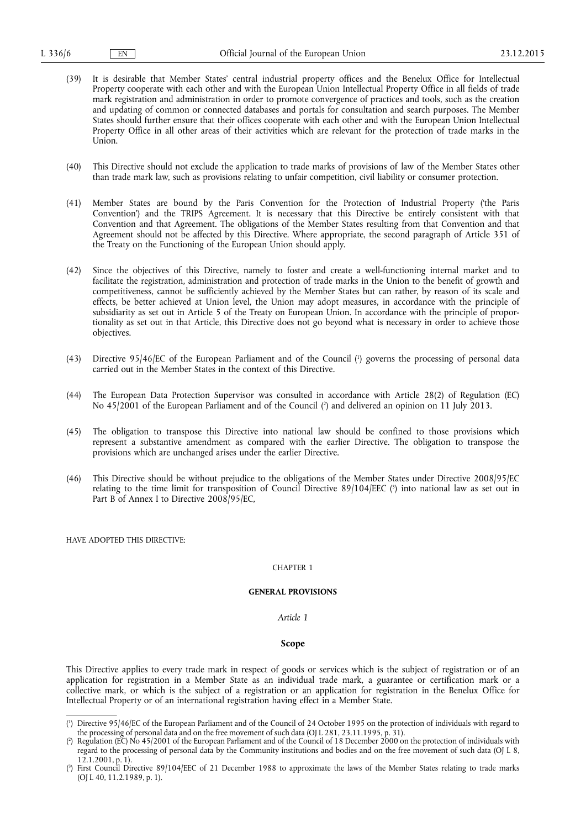- (39) It is desirable that Member States' central industrial property offices and the Benelux Office for Intellectual Property cooperate with each other and with the European Union Intellectual Property Office in all fields of trade mark registration and administration in order to promote convergence of practices and tools, such as the creation and updating of common or connected databases and portals for consultation and search purposes. The Member States should further ensure that their offices cooperate with each other and with the European Union Intellectual Property Office in all other areas of their activities which are relevant for the protection of trade marks in the Union.
- (40) This Directive should not exclude the application to trade marks of provisions of law of the Member States other than trade mark law, such as provisions relating to unfair competition, civil liability or consumer protection.
- (41) Member States are bound by the Paris Convention for the Protection of Industrial Property ('the Paris Convention') and the TRIPS Agreement. It is necessary that this Directive be entirely consistent with that Convention and that Agreement. The obligations of the Member States resulting from that Convention and that Agreement should not be affected by this Directive. Where appropriate, the second paragraph of Article 351 of the Treaty on the Functioning of the European Union should apply.
- (42) Since the objectives of this Directive, namely to foster and create a well-functioning internal market and to facilitate the registration, administration and protection of trade marks in the Union to the benefit of growth and competitiveness, cannot be sufficiently achieved by the Member States but can rather, by reason of its scale and effects, be better achieved at Union level, the Union may adopt measures, in accordance with the principle of subsidiarity as set out in Article 5 of the Treaty on European Union. In accordance with the principle of proportionality as set out in that Article, this Directive does not go beyond what is necessary in order to achieve those objectives.
- (43) Directive 95/46/EC of the European Parliament and of the Council ( 1 ) governs the processing of personal data carried out in the Member States in the context of this Directive.
- (44) The European Data Protection Supervisor was consulted in accordance with Article 28(2) of Regulation (EC) No 45/2001 of the European Parliament and of the Council ( 2 ) and delivered an opinion on 11 July 2013.
- (45) The obligation to transpose this Directive into national law should be confined to those provisions which represent a substantive amendment as compared with the earlier Directive. The obligation to transpose the provisions which are unchanged arises under the earlier Directive.
- (46) This Directive should be without prejudice to the obligations of the Member States under Directive 2008/95/EC relating to the time limit for transposition of Council Directive 89/104/EEC ( 3 ) into national law as set out in Part B of Annex I to Directive 2008/95/EC,

HAVE ADOPTED THIS DIRECTIVE:

# CHAPTER 1

#### **GENERAL PROVISIONS**

## *Article 1*

#### **Scope**

This Directive applies to every trade mark in respect of goods or services which is the subject of registration or of an application for registration in a Member State as an individual trade mark, a guarantee or certification mark or a collective mark, or which is the subject of a registration or an application for registration in the Benelux Office for Intellectual Property or of an international registration having effect in a Member State.

<sup>(</sup> 1 ) Directive 95/46/EC of the European Parliament and of the Council of 24 October 1995 on the protection of individuals with regard to the processing of personal data and on the free movement of such data (OJ L 281, 23.11.1995, p. 31).

<sup>(</sup> 2 ) Regulation (EC) No 45/2001 of the European Parliament and of the Council of 18 December 2000 on the protection of individuals with regard to the processing of personal data by the Community institutions and bodies and on the free movement of such data (OJ L 8,  $12.1.2001, p. 1$ ).

<sup>(</sup> 3 ) First Council Directive 89/104/EEC of 21 December 1988 to approximate the laws of the Member States relating to trade marks (OJ L 40, 11.2.1989, p. 1).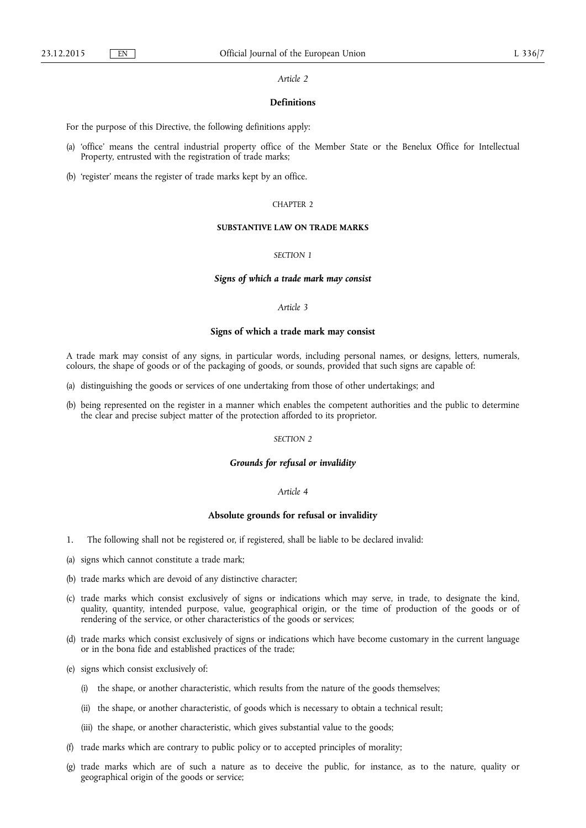# **Definitions**

For the purpose of this Directive, the following definitions apply:

- (a) 'office' means the central industrial property office of the Member State or the Benelux Office for Intellectual Property, entrusted with the registration of trade marks;
- (b) 'register' means the register of trade marks kept by an office.

#### CHAPTER 2

# **SUBSTANTIVE LAW ON TRADE MARKS**

# *SECTION 1*

## *Signs of which a trade mark may consist*

#### *Article 3*

#### **Signs of which a trade mark may consist**

A trade mark may consist of any signs, in particular words, including personal names, or designs, letters, numerals, colours, the shape of goods or of the packaging of goods, or sounds, provided that such signs are capable of:

- (a) distinguishing the goods or services of one undertaking from those of other undertakings; and
- (b) being represented on the register in a manner which enables the competent authorities and the public to determine the clear and precise subject matter of the protection afforded to its proprietor.

# *SECTION 2*

## *Grounds for refusal or invalidity*

# *Article 4*

## **Absolute grounds for refusal or invalidity**

- 1. The following shall not be registered or, if registered, shall be liable to be declared invalid:
- (a) signs which cannot constitute a trade mark;
- (b) trade marks which are devoid of any distinctive character;
- (c) trade marks which consist exclusively of signs or indications which may serve, in trade, to designate the kind, quality, quantity, intended purpose, value, geographical origin, or the time of production of the goods or of rendering of the service, or other characteristics of the goods or services;
- (d) trade marks which consist exclusively of signs or indications which have become customary in the current language or in the bona fide and established practices of the trade;
- (e) signs which consist exclusively of:
	- (i) the shape, or another characteristic, which results from the nature of the goods themselves;
	- (ii) the shape, or another characteristic, of goods which is necessary to obtain a technical result;
	- (iii) the shape, or another characteristic, which gives substantial value to the goods;
- (f) trade marks which are contrary to public policy or to accepted principles of morality;
- (g) trade marks which are of such a nature as to deceive the public, for instance, as to the nature, quality or geographical origin of the goods or service;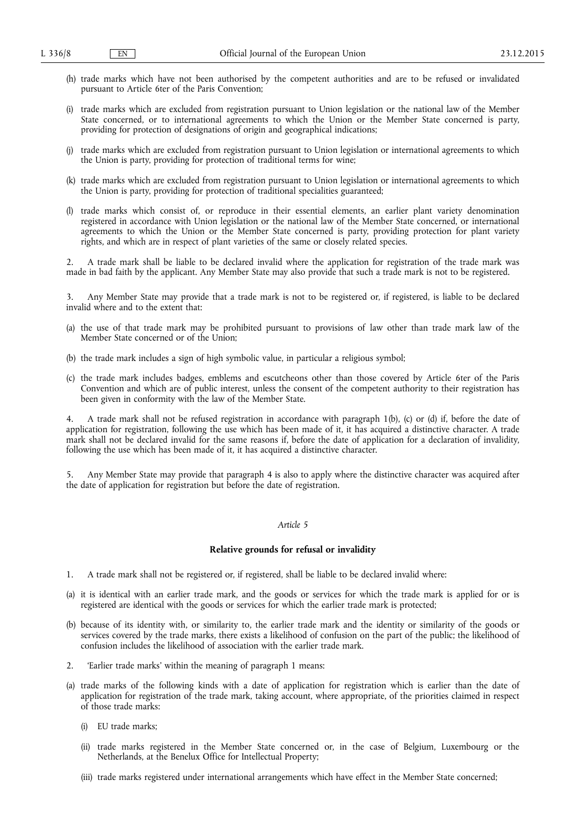- (h) trade marks which have not been authorised by the competent authorities and are to be refused or invalidated pursuant to Article 6ter of the Paris Convention;
- (i) trade marks which are excluded from registration pursuant to Union legislation or the national law of the Member State concerned, or to international agreements to which the Union or the Member State concerned is party, providing for protection of designations of origin and geographical indications;
- (j) trade marks which are excluded from registration pursuant to Union legislation or international agreements to which the Union is party, providing for protection of traditional terms for wine;
- (k) trade marks which are excluded from registration pursuant to Union legislation or international agreements to which the Union is party, providing for protection of traditional specialities guaranteed;
- (l) trade marks which consist of, or reproduce in their essential elements, an earlier plant variety denomination registered in accordance with Union legislation or the national law of the Member State concerned, or international agreements to which the Union or the Member State concerned is party, providing protection for plant variety rights, and which are in respect of plant varieties of the same or closely related species.

2. A trade mark shall be liable to be declared invalid where the application for registration of the trade mark was made in bad faith by the applicant. Any Member State may also provide that such a trade mark is not to be registered.

3. Any Member State may provide that a trade mark is not to be registered or, if registered, is liable to be declared invalid where and to the extent that:

- (a) the use of that trade mark may be prohibited pursuant to provisions of law other than trade mark law of the Member State concerned or of the Union;
- (b) the trade mark includes a sign of high symbolic value, in particular a religious symbol;
- (c) the trade mark includes badges, emblems and escutcheons other than those covered by Article 6ter of the Paris Convention and which are of public interest, unless the consent of the competent authority to their registration has been given in conformity with the law of the Member State.

4. A trade mark shall not be refused registration in accordance with paragraph 1(b), (c) or (d) if, before the date of application for registration, following the use which has been made of it, it has acquired a distinctive character. A trade mark shall not be declared invalid for the same reasons if, before the date of application for a declaration of invalidity, following the use which has been made of it, it has acquired a distinctive character.

5. Any Member State may provide that paragraph 4 is also to apply where the distinctive character was acquired after the date of application for registration but before the date of registration.

# *Article 5*

## **Relative grounds for refusal or invalidity**

- 1. A trade mark shall not be registered or, if registered, shall be liable to be declared invalid where:
- (a) it is identical with an earlier trade mark, and the goods or services for which the trade mark is applied for or is registered are identical with the goods or services for which the earlier trade mark is protected;
- (b) because of its identity with, or similarity to, the earlier trade mark and the identity or similarity of the goods or services covered by the trade marks, there exists a likelihood of confusion on the part of the public; the likelihood of confusion includes the likelihood of association with the earlier trade mark.
- 2. 'Earlier trade marks' within the meaning of paragraph 1 means:
- (a) trade marks of the following kinds with a date of application for registration which is earlier than the date of application for registration of the trade mark, taking account, where appropriate, of the priorities claimed in respect of those trade marks:
	- (i) EU trade marks;
	- (ii) trade marks registered in the Member State concerned or, in the case of Belgium, Luxembourg or the Netherlands, at the Benelux Office for Intellectual Property;
	- (iii) trade marks registered under international arrangements which have effect in the Member State concerned;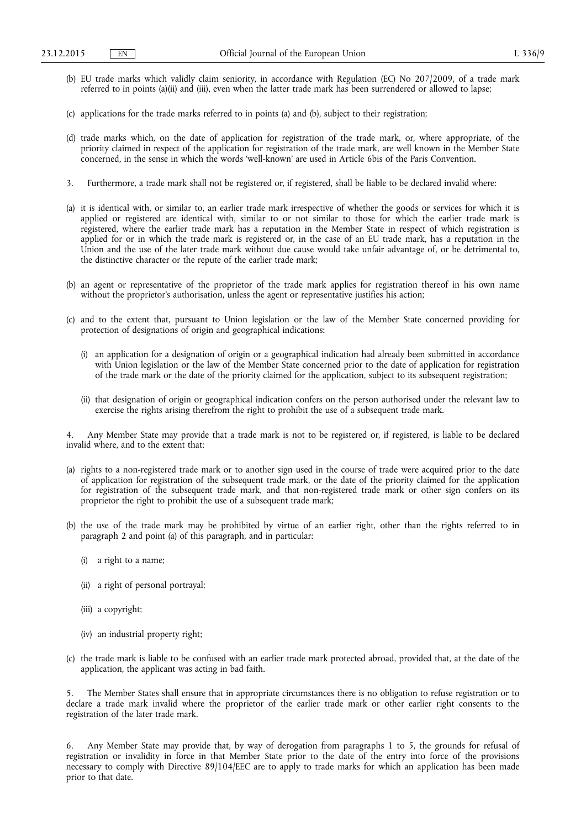- (b) EU trade marks which validly claim seniority, in accordance with Regulation (EC) No 207/2009, of a trade mark referred to in points (a)(ii) and (iii), even when the latter trade mark has been surrendered or allowed to lapse;
- (c) applications for the trade marks referred to in points (a) and (b), subject to their registration;
- (d) trade marks which, on the date of application for registration of the trade mark, or, where appropriate, of the priority claimed in respect of the application for registration of the trade mark, are well known in the Member State concerned, in the sense in which the words 'well-known' are used in Article 6bis of the Paris Convention.
- 3. Furthermore, a trade mark shall not be registered or, if registered, shall be liable to be declared invalid where:
- (a) it is identical with, or similar to, an earlier trade mark irrespective of whether the goods or services for which it is applied or registered are identical with, similar to or not similar to those for which the earlier trade mark is registered, where the earlier trade mark has a reputation in the Member State in respect of which registration is applied for or in which the trade mark is registered or, in the case of an EU trade mark, has a reputation in the Union and the use of the later trade mark without due cause would take unfair advantage of, or be detrimental to, the distinctive character or the repute of the earlier trade mark;
- (b) an agent or representative of the proprietor of the trade mark applies for registration thereof in his own name without the proprietor's authorisation, unless the agent or representative justifies his action;
- (c) and to the extent that, pursuant to Union legislation or the law of the Member State concerned providing for protection of designations of origin and geographical indications:
	- (i) an application for a designation of origin or a geographical indication had already been submitted in accordance with Union legislation or the law of the Member State concerned prior to the date of application for registration of the trade mark or the date of the priority claimed for the application, subject to its subsequent registration;
	- (ii) that designation of origin or geographical indication confers on the person authorised under the relevant law to exercise the rights arising therefrom the right to prohibit the use of a subsequent trade mark.

4. Any Member State may provide that a trade mark is not to be registered or, if registered, is liable to be declared invalid where, and to the extent that:

- (a) rights to a non-registered trade mark or to another sign used in the course of trade were acquired prior to the date of application for registration of the subsequent trade mark, or the date of the priority claimed for the application for registration of the subsequent trade mark, and that non-registered trade mark or other sign confers on its proprietor the right to prohibit the use of a subsequent trade mark;
- (b) the use of the trade mark may be prohibited by virtue of an earlier right, other than the rights referred to in paragraph 2 and point (a) of this paragraph, and in particular:
	- (i) a right to a name;
	- (ii) a right of personal portrayal;
	- (iii) a copyright;
	- (iv) an industrial property right;
- (c) the trade mark is liable to be confused with an earlier trade mark protected abroad, provided that, at the date of the application, the applicant was acting in bad faith.

The Member States shall ensure that in appropriate circumstances there is no obligation to refuse registration or to declare a trade mark invalid where the proprietor of the earlier trade mark or other earlier right consents to the registration of the later trade mark.

6. Any Member State may provide that, by way of derogation from paragraphs 1 to 5, the grounds for refusal of registration or invalidity in force in that Member State prior to the date of the entry into force of the provisions necessary to comply with Directive 89/104/EEC are to apply to trade marks for which an application has been made prior to that date.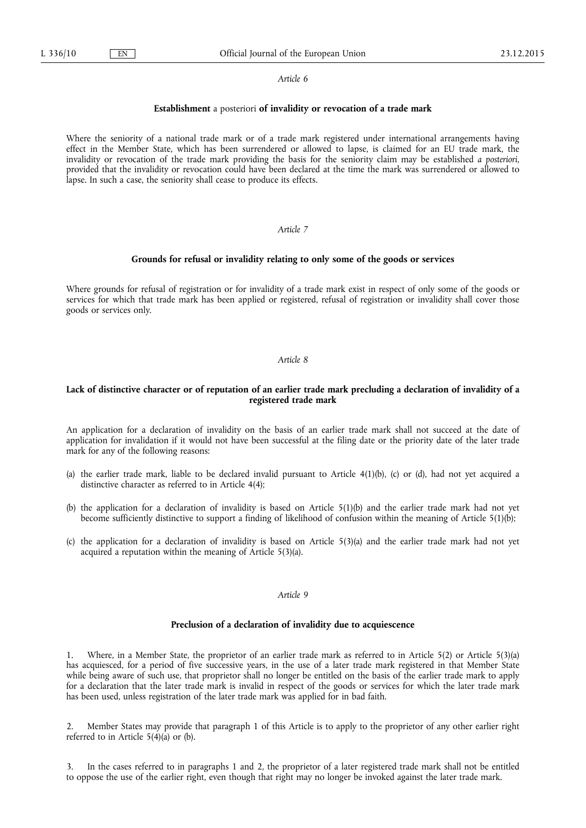#### **Establishment** a posteriori **of invalidity or revocation of a trade mark**

Where the seniority of a national trade mark or of a trade mark registered under international arrangements having effect in the Member State, which has been surrendered or allowed to lapse, is claimed for an EU trade mark, the invalidity or revocation of the trade mark providing the basis for the seniority claim may be established *a posteriori*, provided that the invalidity or revocation could have been declared at the time the mark was surrendered or allowed to lapse. In such a case, the seniority shall cease to produce its effects.

# *Article 7*

## **Grounds for refusal or invalidity relating to only some of the goods or services**

Where grounds for refusal of registration or for invalidity of a trade mark exist in respect of only some of the goods or services for which that trade mark has been applied or registered, refusal of registration or invalidity shall cover those goods or services only.

# *Article 8*

# **Lack of distinctive character or of reputation of an earlier trade mark precluding a declaration of invalidity of a registered trade mark**

An application for a declaration of invalidity on the basis of an earlier trade mark shall not succeed at the date of application for invalidation if it would not have been successful at the filing date or the priority date of the later trade mark for any of the following reasons:

- (a) the earlier trade mark, liable to be declared invalid pursuant to Article  $4(1)(b)$ , (c) or (d), had not yet acquired a distinctive character as referred to in Article 4(4);
- (b) the application for a declaration of invalidity is based on Article  $5(1)(b)$  and the earlier trade mark had not yet become sufficiently distinctive to support a finding of likelihood of confusion within the meaning of Article 5(1)(b);
- (c) the application for a declaration of invalidity is based on Article 5(3)(a) and the earlier trade mark had not yet acquired a reputation within the meaning of Article 5(3)(a).

# *Article 9*

# **Preclusion of a declaration of invalidity due to acquiescence**

1. Where, in a Member State, the proprietor of an earlier trade mark as referred to in Article 5(2) or Article 5(3)(a) has acquiesced, for a period of five successive years, in the use of a later trade mark registered in that Member State while being aware of such use, that proprietor shall no longer be entitled on the basis of the earlier trade mark to apply for a declaration that the later trade mark is invalid in respect of the goods or services for which the later trade mark has been used, unless registration of the later trade mark was applied for in bad faith.

2. Member States may provide that paragraph 1 of this Article is to apply to the proprietor of any other earlier right referred to in Article  $5(4)(a)$  or (b).

In the cases referred to in paragraphs 1 and 2, the proprietor of a later registered trade mark shall not be entitled to oppose the use of the earlier right, even though that right may no longer be invoked against the later trade mark.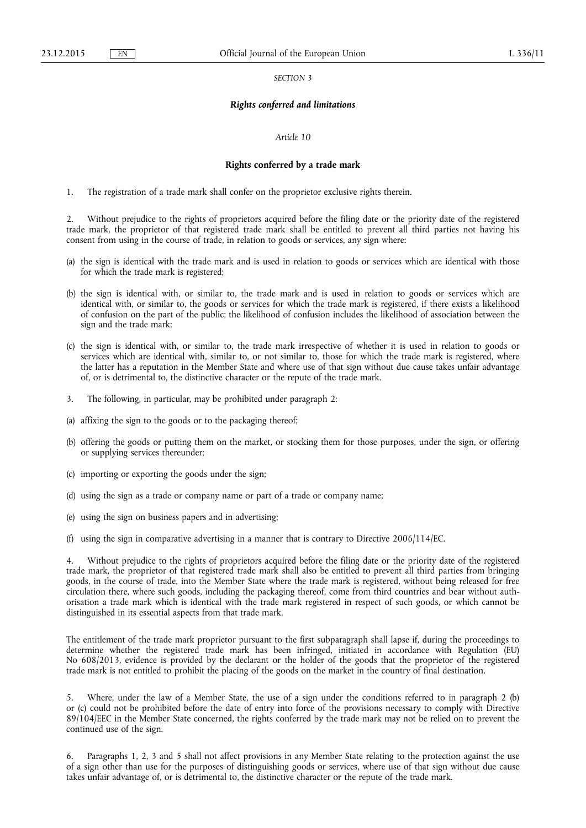#### *SECTION 3*

#### *Rights conferred and limitations*

# *Article 10*

#### **Rights conferred by a trade mark**

1. The registration of a trade mark shall confer on the proprietor exclusive rights therein.

2. Without prejudice to the rights of proprietors acquired before the filing date or the priority date of the registered trade mark, the proprietor of that registered trade mark shall be entitled to prevent all third parties not having his consent from using in the course of trade, in relation to goods or services, any sign where:

- (a) the sign is identical with the trade mark and is used in relation to goods or services which are identical with those for which the trade mark is registered;
- (b) the sign is identical with, or similar to, the trade mark and is used in relation to goods or services which are identical with, or similar to, the goods or services for which the trade mark is registered, if there exists a likelihood of confusion on the part of the public; the likelihood of confusion includes the likelihood of association between the sign and the trade mark;
- (c) the sign is identical with, or similar to, the trade mark irrespective of whether it is used in relation to goods or services which are identical with, similar to, or not similar to, those for which the trade mark is registered, where the latter has a reputation in the Member State and where use of that sign without due cause takes unfair advantage of, or is detrimental to, the distinctive character or the repute of the trade mark.
- 3. The following, in particular, may be prohibited under paragraph 2:
- (a) affixing the sign to the goods or to the packaging thereof;
- (b) offering the goods or putting them on the market, or stocking them for those purposes, under the sign, or offering or supplying services thereunder;
- (c) importing or exporting the goods under the sign;
- (d) using the sign as a trade or company name or part of a trade or company name;
- (e) using the sign on business papers and in advertising;
- (f) using the sign in comparative advertising in a manner that is contrary to Directive 2006/114/EC.

4. Without prejudice to the rights of proprietors acquired before the filing date or the priority date of the registered trade mark, the proprietor of that registered trade mark shall also be entitled to prevent all third parties from bringing goods, in the course of trade, into the Member State where the trade mark is registered, without being released for free circulation there, where such goods, including the packaging thereof, come from third countries and bear without authorisation a trade mark which is identical with the trade mark registered in respect of such goods, or which cannot be distinguished in its essential aspects from that trade mark.

The entitlement of the trade mark proprietor pursuant to the first subparagraph shall lapse if, during the proceedings to determine whether the registered trade mark has been infringed, initiated in accordance with Regulation (EU) No 608/2013, evidence is provided by the declarant or the holder of the goods that the proprietor of the registered trade mark is not entitled to prohibit the placing of the goods on the market in the country of final destination.

5. Where, under the law of a Member State, the use of a sign under the conditions referred to in paragraph 2 (b) or (c) could not be prohibited before the date of entry into force of the provisions necessary to comply with Directive 89/104/EEC in the Member State concerned, the rights conferred by the trade mark may not be relied on to prevent the continued use of the sign.

6. Paragraphs 1, 2, 3 and 5 shall not affect provisions in any Member State relating to the protection against the use of a sign other than use for the purposes of distinguishing goods or services, where use of that sign without due cause takes unfair advantage of, or is detrimental to, the distinctive character or the repute of the trade mark.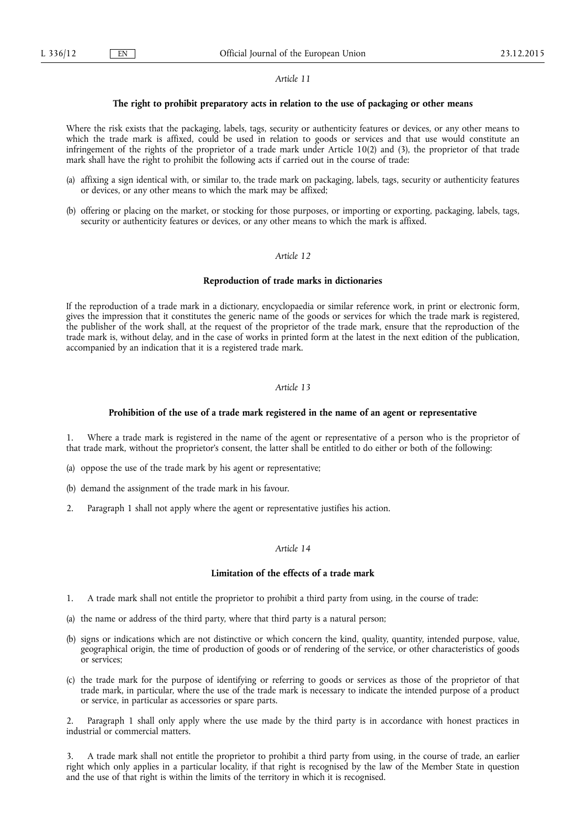# **The right to prohibit preparatory acts in relation to the use of packaging or other means**

Where the risk exists that the packaging, labels, tags, security or authenticity features or devices, or any other means to which the trade mark is affixed, could be used in relation to goods or services and that use would constitute an infringement of the rights of the proprietor of a trade mark under Article 10(2) and (3), the proprietor of that trade mark shall have the right to prohibit the following acts if carried out in the course of trade:

- (a) affixing a sign identical with, or similar to, the trade mark on packaging, labels, tags, security or authenticity features or devices, or any other means to which the mark may be affixed;
- (b) offering or placing on the market, or stocking for those purposes, or importing or exporting, packaging, labels, tags, security or authenticity features or devices, or any other means to which the mark is affixed.

#### *Article 12*

#### **Reproduction of trade marks in dictionaries**

If the reproduction of a trade mark in a dictionary, encyclopaedia or similar reference work, in print or electronic form, gives the impression that it constitutes the generic name of the goods or services for which the trade mark is registered, the publisher of the work shall, at the request of the proprietor of the trade mark, ensure that the reproduction of the trade mark is, without delay, and in the case of works in printed form at the latest in the next edition of the publication, accompanied by an indication that it is a registered trade mark.

# *Article 13*

#### **Prohibition of the use of a trade mark registered in the name of an agent or representative**

1. Where a trade mark is registered in the name of the agent or representative of a person who is the proprietor of that trade mark, without the proprietor's consent, the latter shall be entitled to do either or both of the following:

- (a) oppose the use of the trade mark by his agent or representative;
- (b) demand the assignment of the trade mark in his favour.
- 2. Paragraph 1 shall not apply where the agent or representative justifies his action.

## *Article 14*

## **Limitation of the effects of a trade mark**

- 1. A trade mark shall not entitle the proprietor to prohibit a third party from using, in the course of trade:
- (a) the name or address of the third party, where that third party is a natural person;
- (b) signs or indications which are not distinctive or which concern the kind, quality, quantity, intended purpose, value, geographical origin, the time of production of goods or of rendering of the service, or other characteristics of goods or services;
- (c) the trade mark for the purpose of identifying or referring to goods or services as those of the proprietor of that trade mark, in particular, where the use of the trade mark is necessary to indicate the intended purpose of a product or service, in particular as accessories or spare parts.

Paragraph 1 shall only apply where the use made by the third party is in accordance with honest practices in industrial or commercial matters.

3. A trade mark shall not entitle the proprietor to prohibit a third party from using, in the course of trade, an earlier right which only applies in a particular locality, if that right is recognised by the law of the Member State in question and the use of that right is within the limits of the territory in which it is recognised.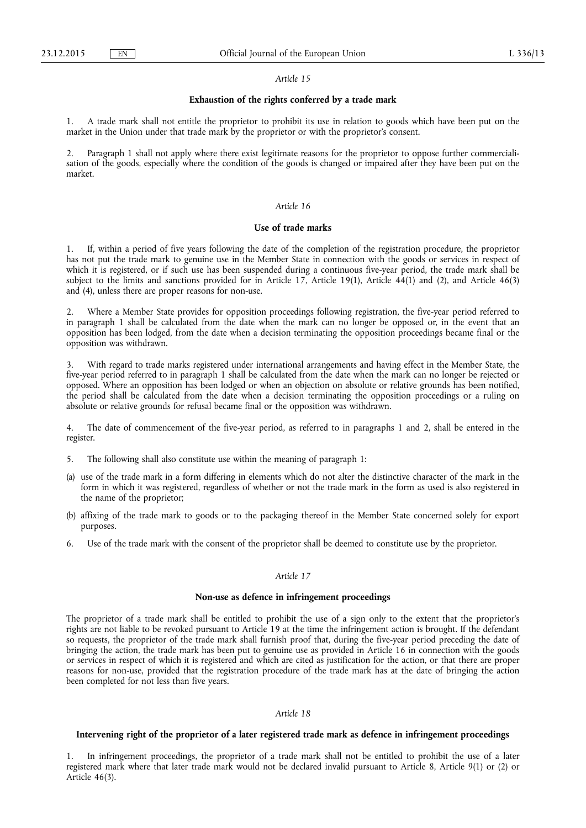# **Exhaustion of the rights conferred by a trade mark**

1. A trade mark shall not entitle the proprietor to prohibit its use in relation to goods which have been put on the market in the Union under that trade mark by the proprietor or with the proprietor's consent.

2. Paragraph 1 shall not apply where there exist legitimate reasons for the proprietor to oppose further commercialisation of the goods, especially where the condition of the goods is changed or impaired after they have been put on the market.

# *Article 16*

# **Use of trade marks**

1. If, within a period of five years following the date of the completion of the registration procedure, the proprietor has not put the trade mark to genuine use in the Member State in connection with the goods or services in respect of which it is registered, or if such use has been suspended during a continuous five-year period, the trade mark shall be subject to the limits and sanctions provided for in Article 17, Article 19(1), Article 44(1) and (2), and Article 46(3) and (4), unless there are proper reasons for non-use.

2. Where a Member State provides for opposition proceedings following registration, the five-year period referred to in paragraph 1 shall be calculated from the date when the mark can no longer be opposed or, in the event that an opposition has been lodged, from the date when a decision terminating the opposition proceedings became final or the opposition was withdrawn.

3. With regard to trade marks registered under international arrangements and having effect in the Member State, the five-year period referred to in paragraph 1 shall be calculated from the date when the mark can no longer be rejected or opposed. Where an opposition has been lodged or when an objection on absolute or relative grounds has been notified, the period shall be calculated from the date when a decision terminating the opposition proceedings or a ruling on absolute or relative grounds for refusal became final or the opposition was withdrawn.

4. The date of commencement of the five-year period, as referred to in paragraphs 1 and 2, shall be entered in the register.

- 5. The following shall also constitute use within the meaning of paragraph 1:
- (a) use of the trade mark in a form differing in elements which do not alter the distinctive character of the mark in the form in which it was registered, regardless of whether or not the trade mark in the form as used is also registered in the name of the proprietor;
- (b) affixing of the trade mark to goods or to the packaging thereof in the Member State concerned solely for export purposes.
- 6. Use of the trade mark with the consent of the proprietor shall be deemed to constitute use by the proprietor.

# *Article 17*

# **Non-use as defence in infringement proceedings**

The proprietor of a trade mark shall be entitled to prohibit the use of a sign only to the extent that the proprietor's rights are not liable to be revoked pursuant to Article 19 at the time the infringement action is brought. If the defendant so requests, the proprietor of the trade mark shall furnish proof that, during the five-year period preceding the date of bringing the action, the trade mark has been put to genuine use as provided in Article 16 in connection with the goods or services in respect of which it is registered and which are cited as justification for the action, or that there are proper reasons for non-use, provided that the registration procedure of the trade mark has at the date of bringing the action been completed for not less than five years.

# *Article 18*

# **Intervening right of the proprietor of a later registered trade mark as defence in infringement proceedings**

1. In infringement proceedings, the proprietor of a trade mark shall not be entitled to prohibit the use of a later registered mark where that later trade mark would not be declared invalid pursuant to Article 8, Article 9(1) or (2) or Article 46(3).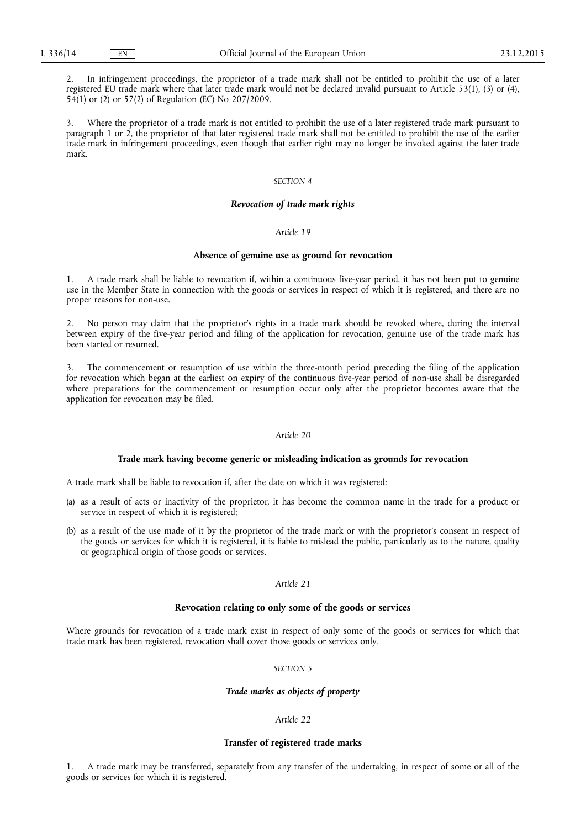2. In infringement proceedings, the proprietor of a trade mark shall not be entitled to prohibit the use of a later registered EU trade mark where that later trade mark would not be declared invalid pursuant to Article 53(1), (3) or (4), 54(1) or (2) or 57(2) of Regulation (EC) No 207/2009.

3. Where the proprietor of a trade mark is not entitled to prohibit the use of a later registered trade mark pursuant to paragraph 1 or 2, the proprietor of that later registered trade mark shall not be entitled to prohibit the use of the earlier trade mark in infringement proceedings, even though that earlier right may no longer be invoked against the later trade mark.

## *SECTION 4*

#### *Revocation of trade mark rights*

# *Article 19*

## **Absence of genuine use as ground for revocation**

1. A trade mark shall be liable to revocation if, within a continuous five-year period, it has not been put to genuine use in the Member State in connection with the goods or services in respect of which it is registered, and there are no proper reasons for non-use.

2. No person may claim that the proprietor's rights in a trade mark should be revoked where, during the interval between expiry of the five-year period and filing of the application for revocation, genuine use of the trade mark has been started or resumed.

3. The commencement or resumption of use within the three-month period preceding the filing of the application for revocation which began at the earliest on expiry of the continuous five-year period of non-use shall be disregarded where preparations for the commencement or resumption occur only after the proprietor becomes aware that the application for revocation may be filed.

## *Article 20*

#### **Trade mark having become generic or misleading indication as grounds for revocation**

A trade mark shall be liable to revocation if, after the date on which it was registered:

- (a) as a result of acts or inactivity of the proprietor, it has become the common name in the trade for a product or service in respect of which it is registered;
- (b) as a result of the use made of it by the proprietor of the trade mark or with the proprietor's consent in respect of the goods or services for which it is registered, it is liable to mislead the public, particularly as to the nature, quality or geographical origin of those goods or services.

#### *Article 21*

# **Revocation relating to only some of the goods or services**

Where grounds for revocation of a trade mark exist in respect of only some of the goods or services for which that trade mark has been registered, revocation shall cover those goods or services only.

# *SECTION 5*

## *Trade marks as objects of property*

# *Article 22*

#### **Transfer of registered trade marks**

1. A trade mark may be transferred, separately from any transfer of the undertaking, in respect of some or all of the goods or services for which it is registered.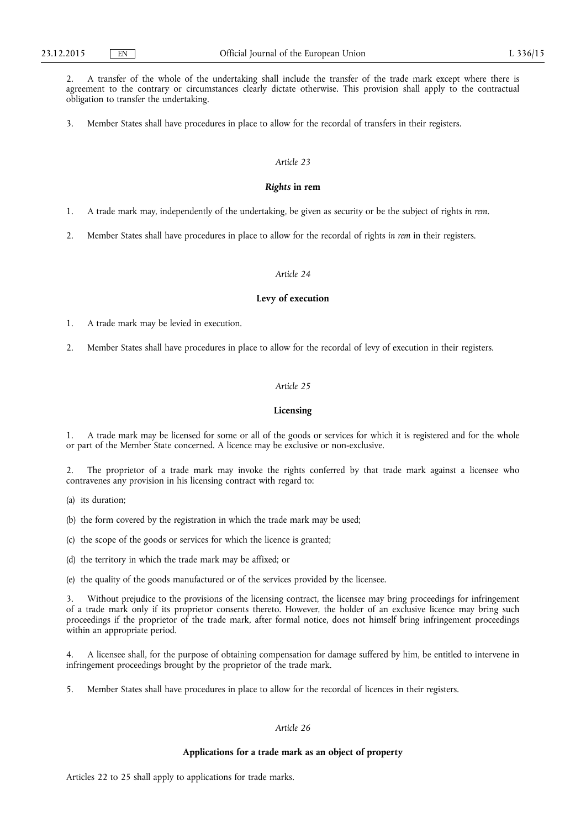2. A transfer of the whole of the undertaking shall include the transfer of the trade mark except where there is agreement to the contrary or circumstances clearly dictate otherwise. This provision shall apply to the contractual obligation to transfer the undertaking.

3. Member States shall have procedures in place to allow for the recordal of transfers in their registers.

# *Article 23*

# *Rights* **in rem**

- 1. A trade mark may, independently of the undertaking, be given as security or be the subject of rights *in rem*.
- 2. Member States shall have procedures in place to allow for the recordal of rights *in rem* in their registers.

# *Article 24*

# **Levy of execution**

- 1. A trade mark may be levied in execution.
- 2. Member States shall have procedures in place to allow for the recordal of levy of execution in their registers.

#### *Article 25*

#### **Licensing**

1. A trade mark may be licensed for some or all of the goods or services for which it is registered and for the whole or part of the Member State concerned. A licence may be exclusive or non-exclusive.

2. The proprietor of a trade mark may invoke the rights conferred by that trade mark against a licensee who contravenes any provision in his licensing contract with regard to:

- (a) its duration;
- (b) the form covered by the registration in which the trade mark may be used;
- (c) the scope of the goods or services for which the licence is granted;
- (d) the territory in which the trade mark may be affixed; or
- (e) the quality of the goods manufactured or of the services provided by the licensee.

3. Without prejudice to the provisions of the licensing contract, the licensee may bring proceedings for infringement of a trade mark only if its proprietor consents thereto. However, the holder of an exclusive licence may bring such proceedings if the proprietor of the trade mark, after formal notice, does not himself bring infringement proceedings within an appropriate period.

4. A licensee shall, for the purpose of obtaining compensation for damage suffered by him, be entitled to intervene in infringement proceedings brought by the proprietor of the trade mark.

5. Member States shall have procedures in place to allow for the recordal of licences in their registers.

# *Article 26*

## **Applications for a trade mark as an object of property**

Articles 22 to 25 shall apply to applications for trade marks.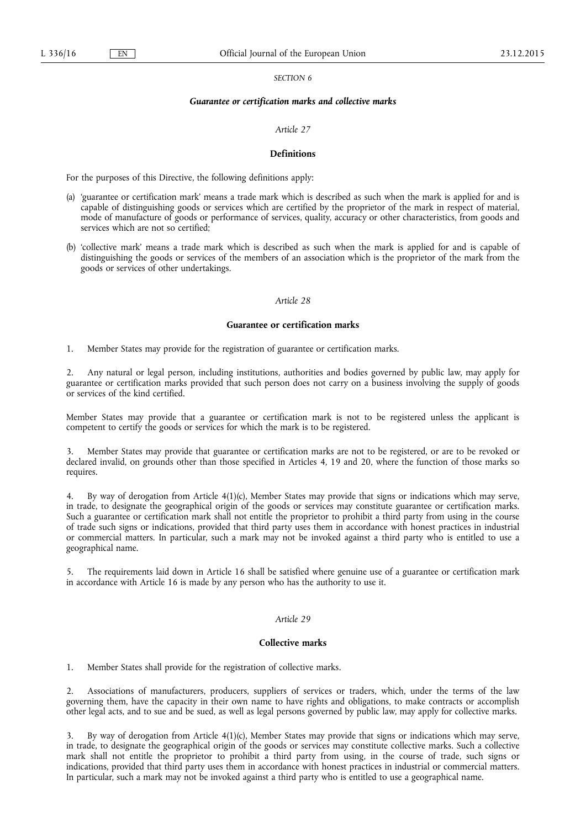#### *SECTION 6*

## *Guarantee or certification marks and collective marks*

## *Article 27*

#### **Definitions**

For the purposes of this Directive, the following definitions apply:

- (a) 'guarantee or certification mark' means a trade mark which is described as such when the mark is applied for and is capable of distinguishing goods or services which are certified by the proprietor of the mark in respect of material, mode of manufacture of goods or performance of services, quality, accuracy or other characteristics, from goods and services which are not so certified;
- (b) 'collective mark' means a trade mark which is described as such when the mark is applied for and is capable of distinguishing the goods or services of the members of an association which is the proprietor of the mark from the goods or services of other undertakings.

#### *Article 28*

#### **Guarantee or certification marks**

1. Member States may provide for the registration of guarantee or certification marks.

2. Any natural or legal person, including institutions, authorities and bodies governed by public law, may apply for guarantee or certification marks provided that such person does not carry on a business involving the supply of goods or services of the kind certified.

Member States may provide that a guarantee or certification mark is not to be registered unless the applicant is competent to certify the goods or services for which the mark is to be registered.

3. Member States may provide that guarantee or certification marks are not to be registered, or are to be revoked or declared invalid, on grounds other than those specified in Articles 4, 19 and 20, where the function of those marks so requires.

4. By way of derogation from Article 4(1)(c), Member States may provide that signs or indications which may serve, in trade, to designate the geographical origin of the goods or services may constitute guarantee or certification marks. Such a guarantee or certification mark shall not entitle the proprietor to prohibit a third party from using in the course of trade such signs or indications, provided that third party uses them in accordance with honest practices in industrial or commercial matters. In particular, such a mark may not be invoked against a third party who is entitled to use a geographical name.

5. The requirements laid down in Article 16 shall be satisfied where genuine use of a guarantee or certification mark in accordance with Article 16 is made by any person who has the authority to use it.

# *Article 29*

# **Collective marks**

1. Member States shall provide for the registration of collective marks.

2. Associations of manufacturers, producers, suppliers of services or traders, which, under the terms of the law governing them, have the capacity in their own name to have rights and obligations, to make contracts or accomplish other legal acts, and to sue and be sued, as well as legal persons governed by public law, may apply for collective marks.

3. By way of derogation from Article 4(1)(c), Member States may provide that signs or indications which may serve, in trade, to designate the geographical origin of the goods or services may constitute collective marks. Such a collective mark shall not entitle the proprietor to prohibit a third party from using, in the course of trade, such signs or indications, provided that third party uses them in accordance with honest practices in industrial or commercial matters. In particular, such a mark may not be invoked against a third party who is entitled to use a geographical name.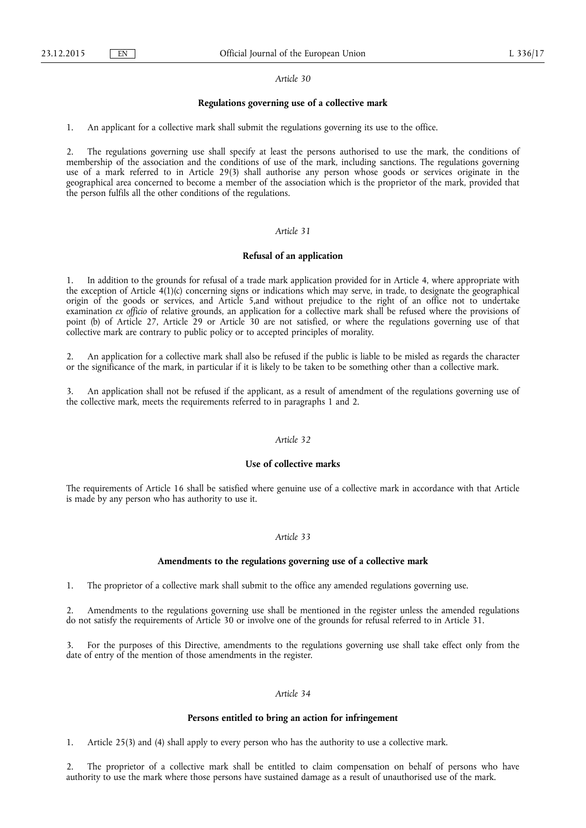# **Regulations governing use of a collective mark**

1. An applicant for a collective mark shall submit the regulations governing its use to the office.

2. The regulations governing use shall specify at least the persons authorised to use the mark, the conditions of membership of the association and the conditions of use of the mark, including sanctions. The regulations governing use of a mark referred to in Article 29(3) shall authorise any person whose goods or services originate in the geographical area concerned to become a member of the association which is the proprietor of the mark, provided that the person fulfils all the other conditions of the regulations.

# *Article 31*

# **Refusal of an application**

1. In addition to the grounds for refusal of a trade mark application provided for in Article 4, where appropriate with the exception of Article 4(1)(c) concerning signs or indications which may serve, in trade, to designate the geographical origin of the goods or services, and Article 5,and without prejudice to the right of an office not to undertake examination *ex officio* of relative grounds, an application for a collective mark shall be refused where the provisions of point (b) of Article 27, Article 29 or Article 30 are not satisfied, or where the regulations governing use of that collective mark are contrary to public policy or to accepted principles of morality.

2. An application for a collective mark shall also be refused if the public is liable to be misled as regards the character or the significance of the mark, in particular if it is likely to be taken to be something other than a collective mark.

3. An application shall not be refused if the applicant, as a result of amendment of the regulations governing use of the collective mark, meets the requirements referred to in paragraphs 1 and 2.

# *Article 32*

# **Use of collective marks**

The requirements of Article 16 shall be satisfied where genuine use of a collective mark in accordance with that Article is made by any person who has authority to use it.

# *Article 33*

# **Amendments to the regulations governing use of a collective mark**

1. The proprietor of a collective mark shall submit to the office any amended regulations governing use.

2. Amendments to the regulations governing use shall be mentioned in the register unless the amended regulations do not satisfy the requirements of Article 30 or involve one of the grounds for refusal referred to in Article 31.

3. For the purposes of this Directive, amendments to the regulations governing use shall take effect only from the date of entry of the mention of those amendments in the register.

# *Article 34*

# **Persons entitled to bring an action for infringement**

1. Article 25(3) and (4) shall apply to every person who has the authority to use a collective mark.

2. The proprietor of a collective mark shall be entitled to claim compensation on behalf of persons who have authority to use the mark where those persons have sustained damage as a result of unauthorised use of the mark.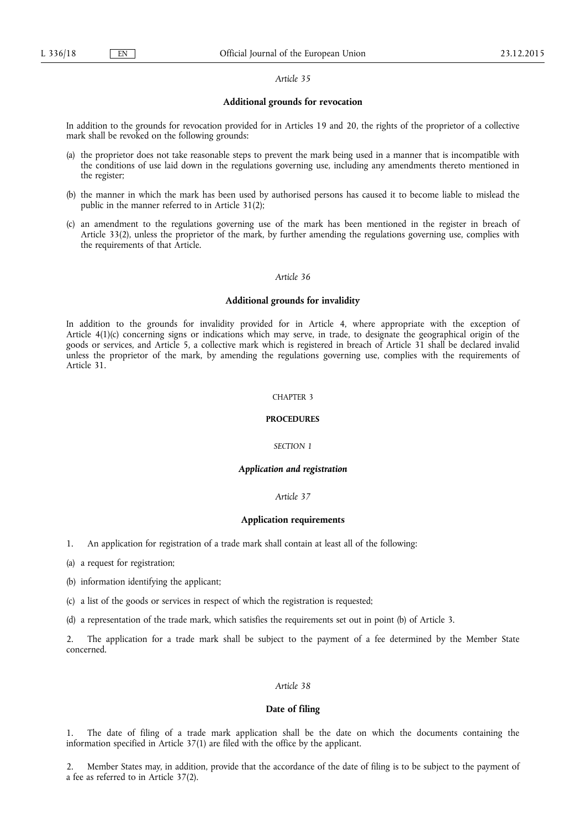# **Additional grounds for revocation**

In addition to the grounds for revocation provided for in Articles 19 and 20, the rights of the proprietor of a collective mark shall be revoked on the following grounds:

- (a) the proprietor does not take reasonable steps to prevent the mark being used in a manner that is incompatible with the conditions of use laid down in the regulations governing use, including any amendments thereto mentioned in the register;
- (b) the manner in which the mark has been used by authorised persons has caused it to become liable to mislead the public in the manner referred to in Article 31(2);
- (c) an amendment to the regulations governing use of the mark has been mentioned in the register in breach of Article 33(2), unless the proprietor of the mark, by further amending the regulations governing use, complies with the requirements of that Article.

# *Article 36*

## **Additional grounds for invalidity**

In addition to the grounds for invalidity provided for in Article 4, where appropriate with the exception of Article 4(1)(c) concerning signs or indications which may serve, in trade, to designate the geographical origin of the goods or services, and Article 5, a collective mark which is registered in breach of Article 31 shall be declared invalid unless the proprietor of the mark, by amending the regulations governing use, complies with the requirements of Article 31.

# CHAPTER 3

# **PROCEDURES**

## *SECTION 1*

# *Application and registration*

#### *Article 37*

# **Application requirements**

- 1. An application for registration of a trade mark shall contain at least all of the following:
- (a) a request for registration;
- (b) information identifying the applicant;
- (c) a list of the goods or services in respect of which the registration is requested;
- (d) a representation of the trade mark, which satisfies the requirements set out in point (b) of Article 3.

2. The application for a trade mark shall be subject to the payment of a fee determined by the Member State concerned.

#### *Article 38*

## **Date of filing**

1. The date of filing of a trade mark application shall be the date on which the documents containing the information specified in Article 37(1) are filed with the office by the applicant.

2. Member States may, in addition, provide that the accordance of the date of filing is to be subject to the payment of a fee as referred to in Article 37(2).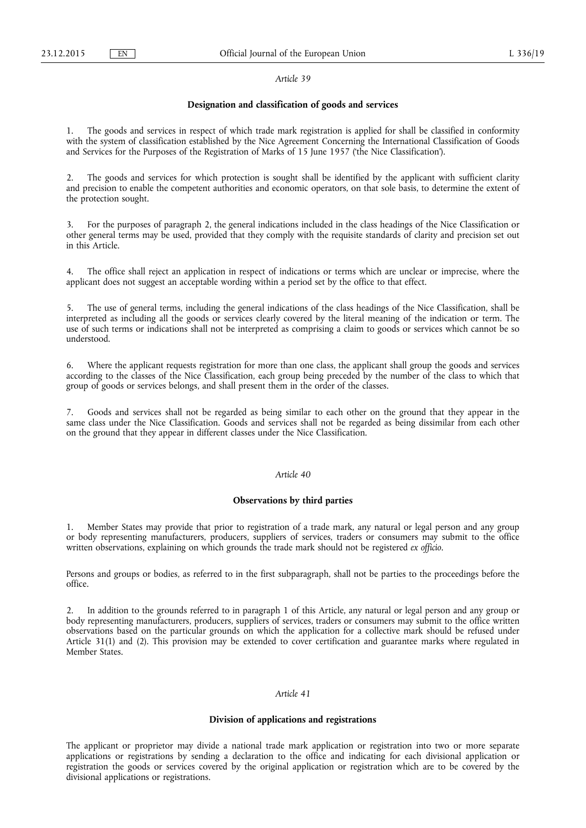# **Designation and classification of goods and services**

1. The goods and services in respect of which trade mark registration is applied for shall be classified in conformity with the system of classification established by the Nice Agreement Concerning the International Classification of Goods and Services for the Purposes of the Registration of Marks of 15 June 1957 ('the Nice Classification').

2. The goods and services for which protection is sought shall be identified by the applicant with sufficient clarity and precision to enable the competent authorities and economic operators, on that sole basis, to determine the extent of the protection sought.

3. For the purposes of paragraph 2, the general indications included in the class headings of the Nice Classification or other general terms may be used, provided that they comply with the requisite standards of clarity and precision set out in this Article.

4. The office shall reject an application in respect of indications or terms which are unclear or imprecise, where the applicant does not suggest an acceptable wording within a period set by the office to that effect.

5. The use of general terms, including the general indications of the class headings of the Nice Classification, shall be interpreted as including all the goods or services clearly covered by the literal meaning of the indication or term. The use of such terms or indications shall not be interpreted as comprising a claim to goods or services which cannot be so understood.

6. Where the applicant requests registration for more than one class, the applicant shall group the goods and services according to the classes of the Nice Classification, each group being preceded by the number of the class to which that group of goods or services belongs, and shall present them in the order of the classes.

7. Goods and services shall not be regarded as being similar to each other on the ground that they appear in the same class under the Nice Classification. Goods and services shall not be regarded as being dissimilar from each other on the ground that they appear in different classes under the Nice Classification.

## *Article 40*

# **Observations by third parties**

1. Member States may provide that prior to registration of a trade mark, any natural or legal person and any group or body representing manufacturers, producers, suppliers of services, traders or consumers may submit to the office written observations, explaining on which grounds the trade mark should not be registered *ex officio*.

Persons and groups or bodies, as referred to in the first subparagraph, shall not be parties to the proceedings before the office.

2. In addition to the grounds referred to in paragraph 1 of this Article, any natural or legal person and any group or body representing manufacturers, producers, suppliers of services, traders or consumers may submit to the office written observations based on the particular grounds on which the application for a collective mark should be refused under Article 31(1) and (2). This provision may be extended to cover certification and guarantee marks where regulated in Member States.

# *Article 41*

# **Division of applications and registrations**

The applicant or proprietor may divide a national trade mark application or registration into two or more separate applications or registrations by sending a declaration to the office and indicating for each divisional application or registration the goods or services covered by the original application or registration which are to be covered by the divisional applications or registrations.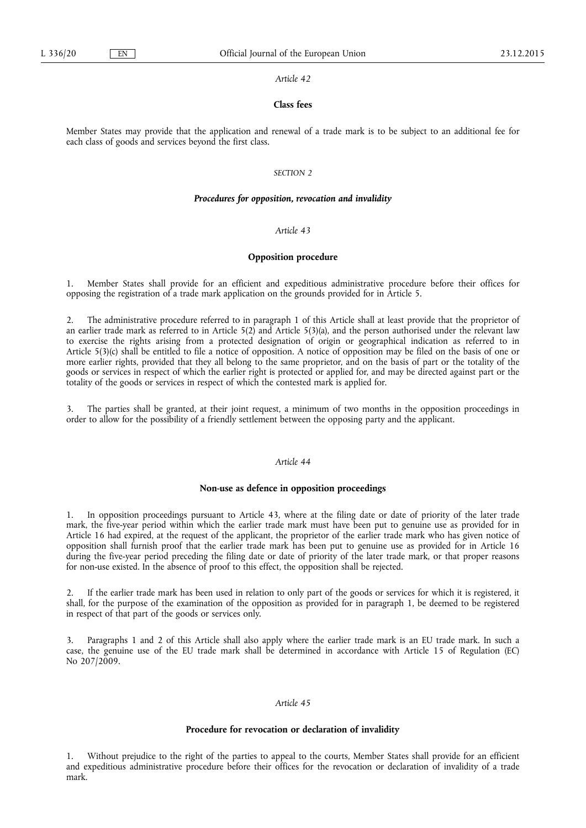# **Class fees**

Member States may provide that the application and renewal of a trade mark is to be subject to an additional fee for each class of goods and services beyond the first class.

#### *SECTION 2*

#### *Procedures for opposition, revocation and invalidity*

## *Article 43*

## **Opposition procedure**

1. Member States shall provide for an efficient and expeditious administrative procedure before their offices for opposing the registration of a trade mark application on the grounds provided for in Article 5.

2. The administrative procedure referred to in paragraph 1 of this Article shall at least provide that the proprietor of an earlier trade mark as referred to in Article 5(2) and Article 5(3)(a), and the person authorised under the relevant law to exercise the rights arising from a protected designation of origin or geographical indication as referred to in Article 5(3)(c) shall be entitled to file a notice of opposition. A notice of opposition may be filed on the basis of one or more earlier rights, provided that they all belong to the same proprietor, and on the basis of part or the totality of the goods or services in respect of which the earlier right is protected or applied for, and may be directed against part or the totality of the goods or services in respect of which the contested mark is applied for.

3. The parties shall be granted, at their joint request, a minimum of two months in the opposition proceedings in order to allow for the possibility of a friendly settlement between the opposing party and the applicant.

# *Article 44*

## **Non-use as defence in opposition proceedings**

1. In opposition proceedings pursuant to Article 43, where at the filing date or date of priority of the later trade mark, the five-year period within which the earlier trade mark must have been put to genuine use as provided for in Article 16 had expired, at the request of the applicant, the proprietor of the earlier trade mark who has given notice of opposition shall furnish proof that the earlier trade mark has been put to genuine use as provided for in Article 16 during the five-year period preceding the filing date or date of priority of the later trade mark, or that proper reasons for non-use existed. In the absence of proof to this effect, the opposition shall be rejected.

If the earlier trade mark has been used in relation to only part of the goods or services for which it is registered, it shall, for the purpose of the examination of the opposition as provided for in paragraph 1, be deemed to be registered in respect of that part of the goods or services only.

3. Paragraphs 1 and 2 of this Article shall also apply where the earlier trade mark is an EU trade mark. In such a case, the genuine use of the EU trade mark shall be determined in accordance with Article 15 of Regulation (EC) No 207/2009.

# *Article 45*

# **Procedure for revocation or declaration of invalidity**

1. Without prejudice to the right of the parties to appeal to the courts, Member States shall provide for an efficient and expeditious administrative procedure before their offices for the revocation or declaration of invalidity of a trade mark.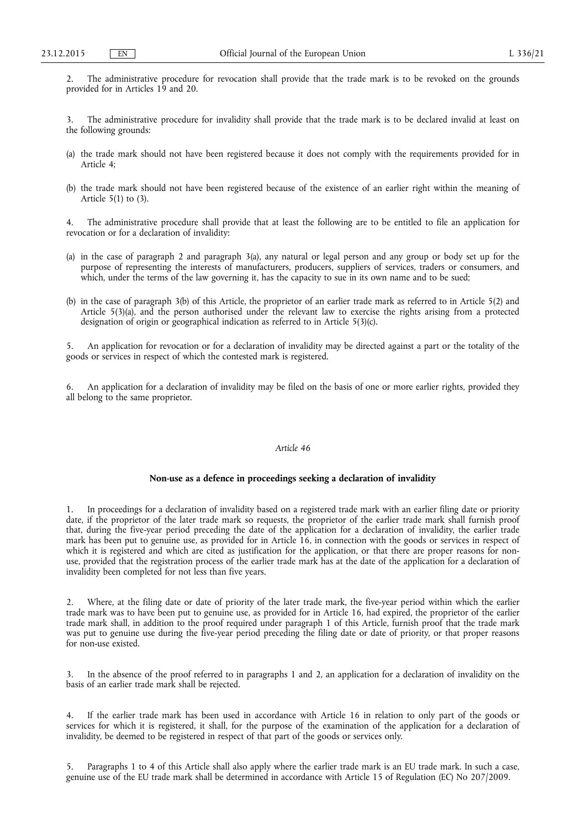2. The administrative procedure for revocation shall provide that the trade mark is to be revoked on the grounds provided for in Articles 19 and 20.

3. The administrative procedure for invalidity shall provide that the trade mark is to be declared invalid at least on the following grounds:

- (a) the trade mark should not have been registered because it does not comply with the requirements provided for in Article 4;
- (b) the trade mark should not have been registered because of the existence of an earlier right within the meaning of Article 5(1) to (3).

4. The administrative procedure shall provide that at least the following are to be entitled to file an application for revocation or for a declaration of invalidity:

- (a) in the case of paragraph 2 and paragraph 3(a), any natural or legal person and any group or body set up for the purpose of representing the interests of manufacturers, producers, suppliers of services, traders or consumers, and which, under the terms of the law governing it, has the capacity to sue in its own name and to be sued;
- (b) in the case of paragraph 3(b) of this Article, the proprietor of an earlier trade mark as referred to in Article 5(2) and Article 5(3)(a), and the person authorised under the relevant law to exercise the rights arising from a protected designation of origin or geographical indication as referred to in Article 5(3)(c).

5. An application for revocation or for a declaration of invalidity may be directed against a part or the totality of the goods or services in respect of which the contested mark is registered.

6. An application for a declaration of invalidity may be filed on the basis of one or more earlier rights, provided they all belong to the same proprietor.

# *Article 46*

# **Non-use as a defence in proceedings seeking a declaration of invalidity**

1. In proceedings for a declaration of invalidity based on a registered trade mark with an earlier filing date or priority date, if the proprietor of the later trade mark so requests, the proprietor of the earlier trade mark shall furnish proof that, during the five-year period preceding the date of the application for a declaration of invalidity, the earlier trade mark has been put to genuine use, as provided for in Article 16, in connection with the goods or services in respect of which it is registered and which are cited as justification for the application, or that there are proper reasons for nonuse, provided that the registration process of the earlier trade mark has at the date of the application for a declaration of invalidity been completed for not less than five years.

2. Where, at the filing date or date of priority of the later trade mark, the five-year period within which the earlier trade mark was to have been put to genuine use, as provided for in Article 16, had expired, the proprietor of the earlier trade mark shall, in addition to the proof required under paragraph 1 of this Article, furnish proof that the trade mark was put to genuine use during the five-year period preceding the filing date or date of priority, or that proper reasons for non-use existed.

3. In the absence of the proof referred to in paragraphs 1 and 2, an application for a declaration of invalidity on the basis of an earlier trade mark shall be rejected.

4. If the earlier trade mark has been used in accordance with Article 16 in relation to only part of the goods or services for which it is registered, it shall, for the purpose of the examination of the application for a declaration of invalidity, be deemed to be registered in respect of that part of the goods or services only.

5. Paragraphs 1 to 4 of this Article shall also apply where the earlier trade mark is an EU trade mark. In such a case, genuine use of the EU trade mark shall be determined in accordance with Article 15 of Regulation (EC) No 207/2009.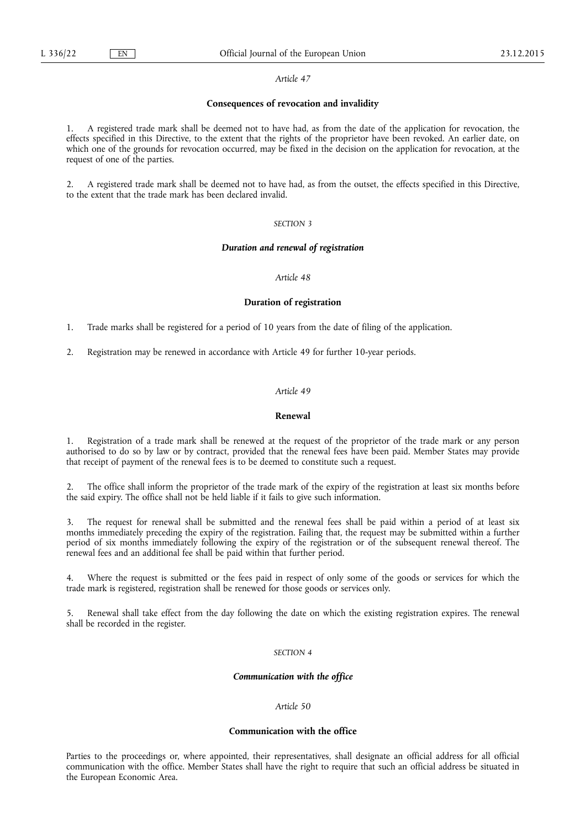# **Consequences of revocation and invalidity**

1. A registered trade mark shall be deemed not to have had, as from the date of the application for revocation, the effects specified in this Directive, to the extent that the rights of the proprietor have been revoked. An earlier date, on which one of the grounds for revocation occurred, may be fixed in the decision on the application for revocation, at the request of one of the parties.

2. A registered trade mark shall be deemed not to have had, as from the outset, the effects specified in this Directive, to the extent that the trade mark has been declared invalid.

## *SECTION 3*

#### *Duration and renewal of registration*

# *Article 48*

#### **Duration of registration**

1. Trade marks shall be registered for a period of 10 years from the date of filing of the application.

2. Registration may be renewed in accordance with Article 49 for further 10-year periods.

#### *Article 49*

#### **Renewal**

1. Registration of a trade mark shall be renewed at the request of the proprietor of the trade mark or any person authorised to do so by law or by contract, provided that the renewal fees have been paid. Member States may provide that receipt of payment of the renewal fees is to be deemed to constitute such a request.

2. The office shall inform the proprietor of the trade mark of the expiry of the registration at least six months before the said expiry. The office shall not be held liable if it fails to give such information.

The request for renewal shall be submitted and the renewal fees shall be paid within a period of at least six months immediately preceding the expiry of the registration. Failing that, the request may be submitted within a further period of six months immediately following the expiry of the registration or of the subsequent renewal thereof. The renewal fees and an additional fee shall be paid within that further period.

Where the request is submitted or the fees paid in respect of only some of the goods or services for which the trade mark is registered, registration shall be renewed for those goods or services only.

5. Renewal shall take effect from the day following the date on which the existing registration expires. The renewal shall be recorded in the register.

# *SECTION 4*

# *Communication with the office*

# *Article 50*

#### **Communication with the office**

Parties to the proceedings or, where appointed, their representatives, shall designate an official address for all official communication with the office. Member States shall have the right to require that such an official address be situated in the European Economic Area.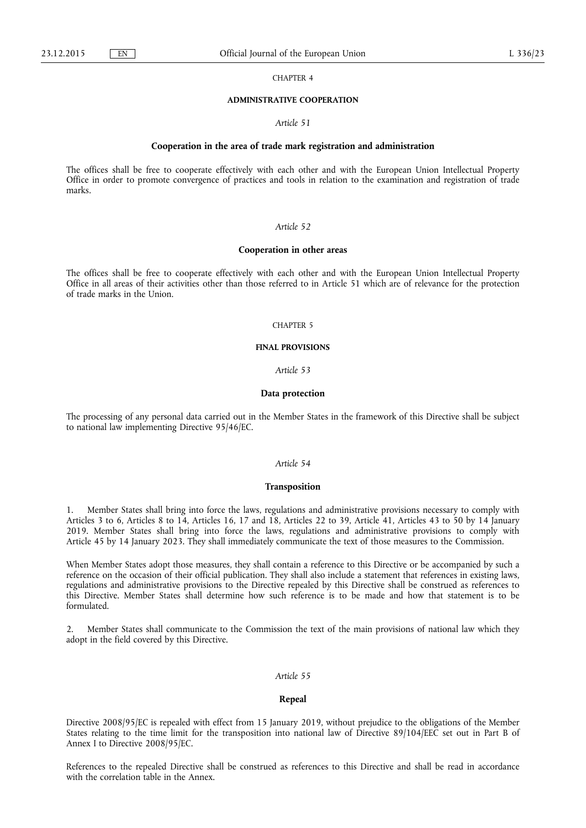CHAPTER 4

# **ADMINISTRATIVE COOPERATION**

## *Article 51*

# **Cooperation in the area of trade mark registration and administration**

The offices shall be free to cooperate effectively with each other and with the European Union Intellectual Property Office in order to promote convergence of practices and tools in relation to the examination and registration of trade marks.

# *Article 52*

## **Cooperation in other areas**

The offices shall be free to cooperate effectively with each other and with the European Union Intellectual Property Office in all areas of their activities other than those referred to in Article 51 which are of relevance for the protection of trade marks in the Union.

#### CHAPTER 5

#### **FINAL PROVISIONS**

*Article 53* 

#### **Data protection**

The processing of any personal data carried out in the Member States in the framework of this Directive shall be subject to national law implementing Directive 95/46/EC.

#### *Article 54*

#### **Transposition**

1. Member States shall bring into force the laws, regulations and administrative provisions necessary to comply with Articles 3 to 6, Articles 8 to 14, Articles 16, 17 and 18, Articles 22 to 39, Article 41, Articles 43 to 50 by 14 January 2019. Member States shall bring into force the laws, regulations and administrative provisions to comply with Article 45 by 14 January 2023. They shall immediately communicate the text of those measures to the Commission.

When Member States adopt those measures, they shall contain a reference to this Directive or be accompanied by such a reference on the occasion of their official publication. They shall also include a statement that references in existing laws, regulations and administrative provisions to the Directive repealed by this Directive shall be construed as references to this Directive. Member States shall determine how such reference is to be made and how that statement is to be formulated.

2. Member States shall communicate to the Commission the text of the main provisions of national law which they adopt in the field covered by this Directive.

## *Article 55*

#### **Repeal**

Directive 2008/95/EC is repealed with effect from 15 January 2019, without prejudice to the obligations of the Member States relating to the time limit for the transposition into national law of Directive 89/104/EEC set out in Part B of Annex I to Directive 2008/95/EC.

References to the repealed Directive shall be construed as references to this Directive and shall be read in accordance with the correlation table in the Annex.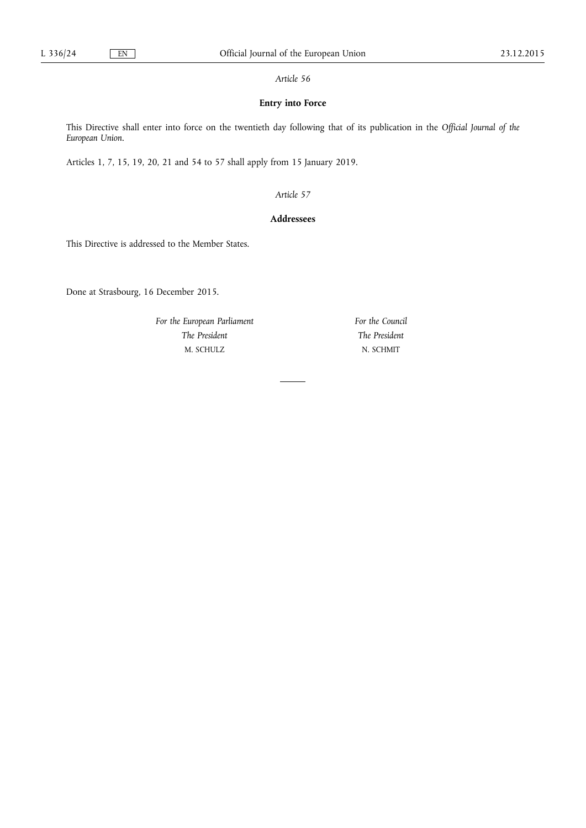# **Entry into Force**

This Directive shall enter into force on the twentieth day following that of its publication in the *Official Journal of the European Union*.

Articles 1, 7, 15, 19, 20, 21 and 54 to 57 shall apply from 15 January 2019.

*Article 57* 

# **Addressees**

This Directive is addressed to the Member States.

Done at Strasbourg, 16 December 2015.

*For the European Parliament The President*  M. SCHULZ

*For the Council The President*  N. SCHMIT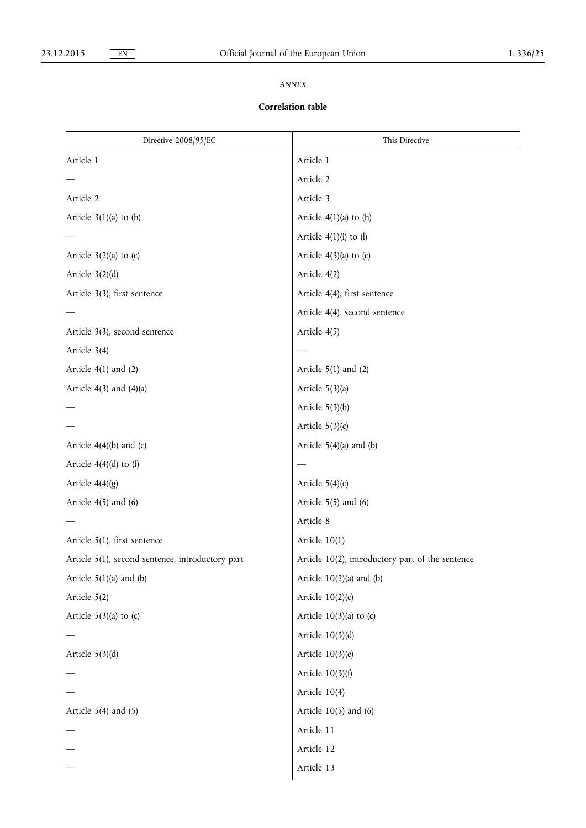# *ANNEX*

# **Correlation table**

| Directive 2008/95/EC                             | This Directive                                   |
|--------------------------------------------------|--------------------------------------------------|
| Article 1                                        | Article 1                                        |
|                                                  | Article 2                                        |
| Article 2                                        | Article 3                                        |
| Article $3(1)(a)$ to $(h)$                       | Article $4(1)(a)$ to $(h)$                       |
|                                                  | Article $4(1)(i)$ to $(l)$                       |
| Article $3(2)(a)$ to (c)                         | Article $4(3)(a)$ to (c)                         |
| Article $3(2)(d)$                                | Article 4(2)                                     |
| Article 3(3), first sentence                     | Article 4(4), first sentence                     |
|                                                  | Article 4(4), second sentence                    |
| Article 3(3), second sentence                    | Article 4(5)                                     |
| Article 3(4)                                     |                                                  |
| Article $4(1)$ and $(2)$                         | Article $5(1)$ and $(2)$                         |
| Article $4(3)$ and $(4)(a)$                      | Article $5(3)(a)$                                |
|                                                  | Article $5(3)(b)$                                |
|                                                  | Article $5(3)(c)$                                |
| Article $4(4)(b)$ and (c)                        | Article $5(4)(a)$ and $(b)$                      |
| Article $4(4)(d)$ to (f)                         |                                                  |
| Article $4(4)(g)$                                | Article $5(4)(c)$                                |
| Article $4(5)$ and $(6)$                         | Article $5(5)$ and $(6)$                         |
|                                                  | Article 8                                        |
| Article 5(1), first sentence                     | Article $10(1)$                                  |
| Article 5(1), second sentence, introductory part | Article 10(2), introductory part of the sentence |
| Article $5(1)(a)$ and $(b)$                      | Article $10(2)(a)$ and $(b)$                     |
| Article 5(2)                                     | Article $10(2)(c)$                               |
| Article $5(3)(a)$ to (c)                         | Article $10(3)(a)$ to (c)                        |
|                                                  | Article $10(3)(d)$                               |
| Article $5(3)(d)$                                | Article $10(3)(e)$                               |
|                                                  | Article $10(3)(f)$                               |
|                                                  | Article 10(4)                                    |
| Article $5(4)$ and $(5)$                         | Article $10(5)$ and $(6)$                        |
|                                                  | Article 11                                       |
|                                                  | Article 12                                       |
|                                                  | Article 13                                       |